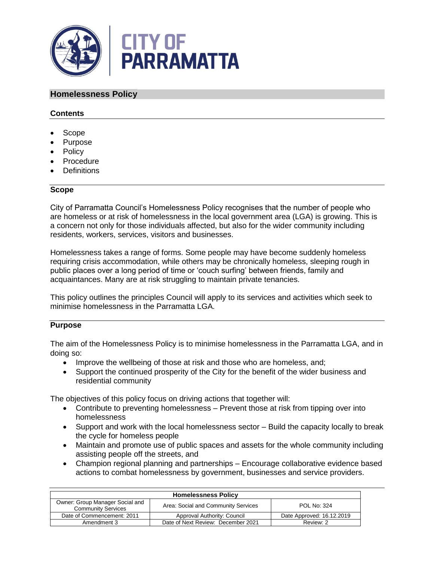

## **Homelessness Policy**

### **Contents**

- Scope
- Purpose
- Policy
- Procedure
- Definitions

#### **Scope**

City of Parramatta Council's Homelessness Policy recognises that the number of people who are homeless or at risk of homelessness in the local government area (LGA) is growing. This is a concern not only for those individuals affected, but also for the wider community including residents, workers, services, visitors and businesses.

Homelessness takes a range of forms. Some people may have become suddenly homeless requiring crisis accommodation, while others may be chronically homeless, sleeping rough in public places over a long period of time or 'couch surfing' between friends, family and acquaintances. Many are at risk struggling to maintain private tenancies.

This policy outlines the principles Council will apply to its services and activities which seek to minimise homelessness in the Parramatta LGA.

#### **Purpose**

The aim of the Homelessness Policy is to minimise homelessness in the Parramatta LGA, and in doing so:

- Improve the wellbeing of those at risk and those who are homeless, and;
- Support the continued prosperity of the City for the benefit of the wider business and residential community

The objectives of this policy focus on driving actions that together will:

- Contribute to preventing homelessness Prevent those at risk from tipping over into homelessness
- Support and work with the local homelessness sector Build the capacity locally to break the cycle for homeless people
- Maintain and promote use of public spaces and assets for the whole community including assisting people off the streets, and
- Champion regional planning and partnerships Encourage collaborative evidence based actions to combat homelessness by government, businesses and service providers.

| <b>Homelessness Policy</b>                                   |                                     |                           |  |
|--------------------------------------------------------------|-------------------------------------|---------------------------|--|
| Owner: Group Manager Social and<br><b>Community Services</b> | Area: Social and Community Services | <b>POL No: 324</b>        |  |
| Date of Commencement: 2011                                   | Approval Authority: Council         | Date Approved: 16.12.2019 |  |
| Amendment 3                                                  | Date of Next Review: December 2021  | Review: 2                 |  |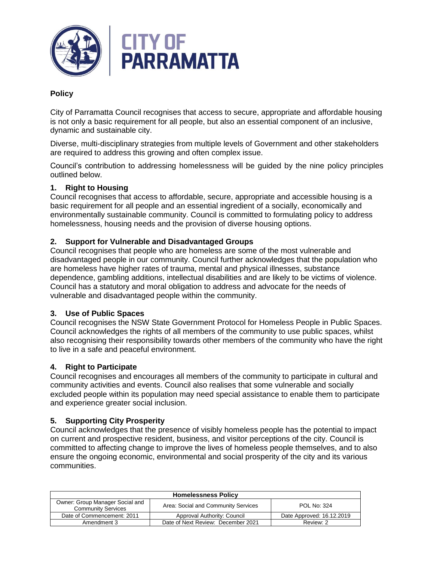

# **Policy**

City of Parramatta Council recognises that access to secure, appropriate and affordable housing is not only a basic requirement for all people, but also an essential component of an inclusive, dynamic and sustainable city.

Diverse, multi-disciplinary strategies from multiple levels of Government and other stakeholders are required to address this growing and often complex issue.

Council's contribution to addressing homelessness will be guided by the nine policy principles outlined below.

## **1. Right to Housing**

Council recognises that access to affordable, secure, appropriate and accessible housing is a basic requirement for all people and an essential ingredient of a socially, economically and environmentally sustainable community. Council is committed to formulating policy to address homelessness, housing needs and the provision of diverse housing options.

## **2. Support for Vulnerable and Disadvantaged Groups**

Council recognises that people who are homeless are some of the most vulnerable and disadvantaged people in our community. Council further acknowledges that the population who are homeless have higher rates of trauma, mental and physical illnesses, substance dependence, gambling additions, intellectual disabilities and are likely to be victims of violence. Council has a statutory and moral obligation to address and advocate for the needs of vulnerable and disadvantaged people within the community.

## **3. Use of Public Spaces**

Council recognises the NSW State Government Protocol for Homeless People in Public Spaces. Council acknowledges the rights of all members of the community to use public spaces, whilst also recognising their responsibility towards other members of the community who have the right to live in a safe and peaceful environment.

## **4. Right to Participate**

Council recognises and encourages all members of the community to participate in cultural and community activities and events. Council also realises that some vulnerable and socially excluded people within its population may need special assistance to enable them to participate and experience greater social inclusion.

## **5. Supporting City Prosperity**

Council acknowledges that the presence of visibly homeless people has the potential to impact on current and prospective resident, business, and visitor perceptions of the city. Council is committed to affecting change to improve the lives of homeless people themselves, and to also ensure the ongoing economic, environmental and social prosperity of the city and its various communities.

| <b>Homelessness Policy</b>                                   |                                     |                           |  |
|--------------------------------------------------------------|-------------------------------------|---------------------------|--|
| Owner: Group Manager Social and<br><b>Community Services</b> | Area: Social and Community Services | <b>POL No: 324</b>        |  |
| Date of Commencement: 2011                                   | Approval Authority: Council         | Date Approved: 16.12.2019 |  |
| Amendment 3                                                  | Date of Next Review: December 2021  | Review: 2                 |  |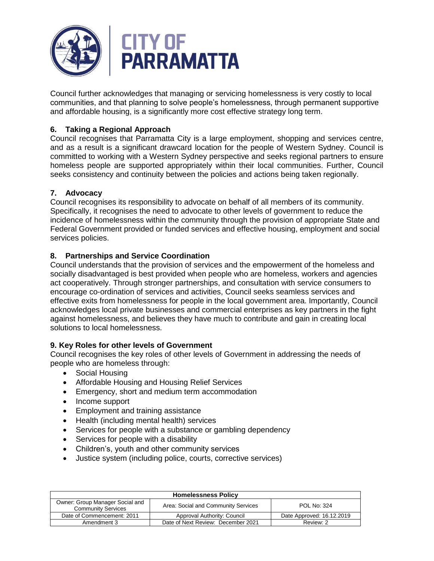

Council further acknowledges that managing or servicing homelessness is very costly to local communities, and that planning to solve people's homelessness, through permanent supportive and affordable housing, is a significantly more cost effective strategy long term.

# **6. Taking a Regional Approach**

Council recognises that Parramatta City is a large employment, shopping and services centre, and as a result is a significant drawcard location for the people of Western Sydney. Council is committed to working with a Western Sydney perspective and seeks regional partners to ensure homeless people are supported appropriately within their local communities. Further, Council seeks consistency and continuity between the policies and actions being taken regionally.

# **7. Advocacy**

Council recognises its responsibility to advocate on behalf of all members of its community. Specifically, it recognises the need to advocate to other levels of government to reduce the incidence of homelessness within the community through the provision of appropriate State and Federal Government provided or funded services and effective housing, employment and social services policies.

# **8. Partnerships and Service Coordination**

Council understands that the provision of services and the empowerment of the homeless and socially disadvantaged is best provided when people who are homeless, workers and agencies act cooperatively. Through stronger partnerships, and consultation with service consumers to encourage co-ordination of services and activities, Council seeks seamless services and effective exits from homelessness for people in the local government area. Importantly, Council acknowledges local private businesses and commercial enterprises as key partners in the fight against homelessness, and believes they have much to contribute and gain in creating local solutions to local homelessness.

# **9. Key Roles for other levels of Government**

Council recognises the key roles of other levels of Government in addressing the needs of people who are homeless through:

- Social Housing
- Affordable Housing and Housing Relief Services
- Emergency, short and medium term accommodation
- Income support
- **Employment and training assistance**
- Health (including mental health) services
- Services for people with a substance or gambling dependency
- Services for people with a disability
- Children's, youth and other community services
- Justice system (including police, courts, corrective services)

| <b>Homelessness Policy</b>                                   |                                     |                           |  |
|--------------------------------------------------------------|-------------------------------------|---------------------------|--|
| Owner: Group Manager Social and<br><b>Community Services</b> | Area: Social and Community Services | <b>POL No: 324</b>        |  |
| Date of Commencement: 2011                                   | Approval Authority: Council         | Date Approved: 16.12.2019 |  |
| Amendment 3                                                  | Date of Next Review: December 2021  | Review: 2                 |  |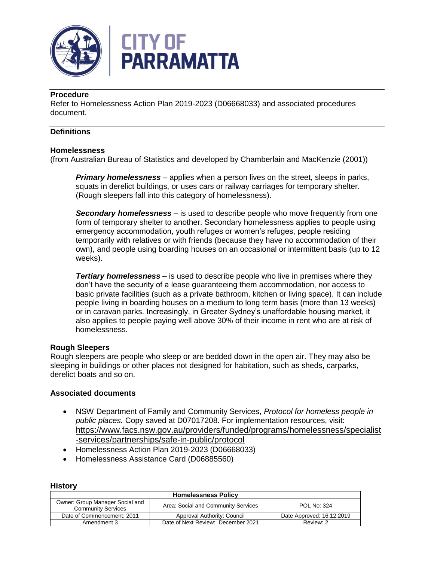



## **Procedure**

Refer to Homelessness Action Plan 2019-2023 (D06668033) and associated procedures document.

## **Definitions**

### **Homelessness**

(from Australian Bureau of Statistics and developed by Chamberlain and MacKenzie (2001))

*Primary homelessness* – applies when a person lives on the street, sleeps in parks, squats in derelict buildings, or uses cars or railway carriages for temporary shelter. (Rough sleepers fall into this category of homelessness).

*Secondary homelessness* – is used to describe people who move frequently from one form of temporary shelter to another. Secondary homelessness applies to people using emergency accommodation, youth refuges or women's refuges, people residing temporarily with relatives or with friends (because they have no accommodation of their own), and people using boarding houses on an occasional or intermittent basis (up to 12 weeks).

*Tertiary homelessness* – is used to describe people who live in premises where they don't have the security of a lease guaranteeing them accommodation, nor access to basic private facilities (such as a private bathroom, kitchen or living space). It can include people living in boarding houses on a medium to long term basis (more than 13 weeks) or in caravan parks. Increasingly, in Greater Sydney's unaffordable housing market, it also applies to people paying well above 30% of their income in rent who are at risk of homelessness.

#### **Rough Sleepers**

Rough sleepers are people who sleep or are bedded down in the open air. They may also be sleeping in buildings or other places not designed for habitation, such as sheds, carparks, derelict boats and so on.

#### **Associated documents**

- NSW Department of Family and Community Services, *Protocol for homeless people in public places.* Copy saved at D07017208. For implementation resources, visit: [https://www.facs.nsw.gov.au/providers/funded/programs/homelessness/specialist](https://www.facs.nsw.gov.au/providers/funded/programs/homelessness/specialist-services/partnerships/safe-in-public/protocol) [-services/partnerships/safe-in-public/protocol](https://www.facs.nsw.gov.au/providers/funded/programs/homelessness/specialist-services/partnerships/safe-in-public/protocol)
- Homelessness Action Plan 2019-2023 (D06668033)
- Homelessness Assistance Card (D06885560)

| <b>Homelessness Policy</b>                                   |                                     |                           |  |
|--------------------------------------------------------------|-------------------------------------|---------------------------|--|
| Owner: Group Manager Social and<br><b>Community Services</b> | Area: Social and Community Services | <b>POL No: 324</b>        |  |
| Date of Commencement: 2011                                   | Approval Authority: Council         | Date Approved: 16.12.2019 |  |
| Amendment 3                                                  | Date of Next Review: December 2021  | Review: 2                 |  |

#### **History**